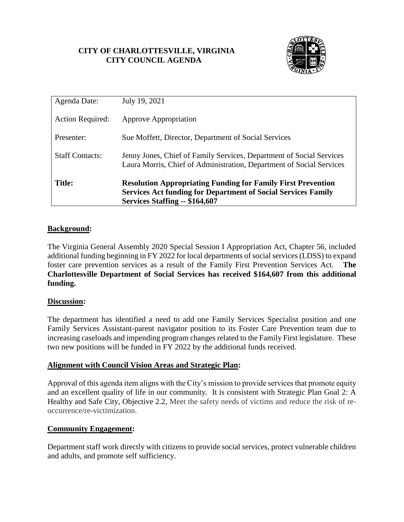# **CITY OF CHARLOTTESVILLE, VIRGINIA CITY COUNCIL AGENDA**



| Agenda Date:            | July 19, 2021                                                                                                                                                                 |
|-------------------------|-------------------------------------------------------------------------------------------------------------------------------------------------------------------------------|
| <b>Action Required:</b> | Approve Appropriation                                                                                                                                                         |
| Presenter:              | Sue Moffett, Director, Department of Social Services                                                                                                                          |
| <b>Staff Contacts:</b>  | Jenny Jones, Chief of Family Services, Department of Social Services<br>Laura Morris, Chief of Administration, Department of Social Services                                  |
| <b>Title:</b>           | <b>Resolution Appropriating Funding for Family First Prevention</b><br><b>Services Act funding for Department of Social Services Family</b><br>Services Staffing -- \$164,607 |

# **Background:**

The Virginia General Assembly 2020 Special Session I Appropriation Act, Chapter 56, included additional funding beginning in FY 2022 for local departments of social services (LDSS) to expand foster care prevention services as a result of the Family First Prevention Services Act. **The Charlottesville Department of Social Services has received \$164,607 from this additional funding.** 

#### **Discussion:**

The department has identified a need to add one Family Services Specialist position and one Family Services Assistant-parent navigator position to its Foster Care Prevention team due to increasing caseloads and impending program changes related to the Family First legislature. These two new positions will be funded in FY 2022 by the additional funds received.

#### **Alignment with Council Vision Areas and Strategic Plan:**

Approval of this agenda item aligns with the City's mission to provide services that promote equity and an excellent quality of life in our community. It is consistent with Strategic Plan Goal 2: A Healthy and Safe City, Objective 2.2, Meet the safety needs of victims and reduce the risk of reoccurrence/re-victimization.

#### **Community Engagement:**

Department staff work directly with citizens to provide social services, protect vulnerable children and adults, and promote self sufficiency.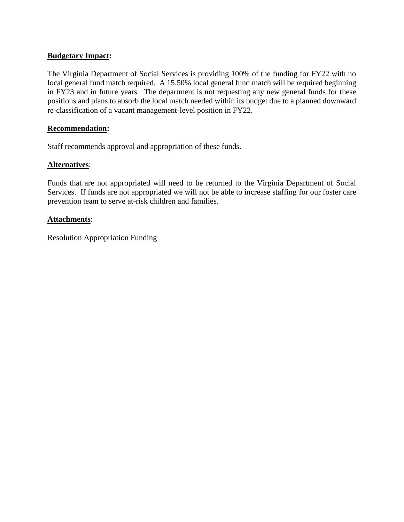## **Budgetary Impact:**

The Virginia Department of Social Services is providing 100% of the funding for FY22 with no local general fund match required. A 15.50% local general fund match will be required beginning in FY23 and in future years. The department is not requesting any new general funds for these positions and plans to absorb the local match needed within its budget due to a planned downward re-classification of a vacant management-level position in FY22.

#### **Recommendation:**

Staff recommends approval and appropriation of these funds.

## **Alternatives**:

Funds that are not appropriated will need to be returned to the Virginia Department of Social Services. If funds are not appropriated we will not be able to increase staffing for our foster care prevention team to serve at-risk children and families.

#### **Attachments**:

Resolution Appropriation Funding